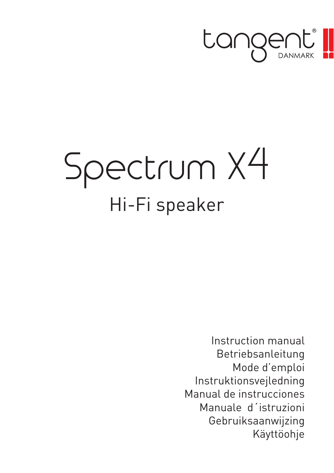

# Spectrum X4 Hi-Fi speaker

Instruction manual Betriebsanleitung Mode d'emploi Instruktionsvejledning Manual de instrucciones Manuale d´istruzioni Gebruiksaanwijzing Käyttöohje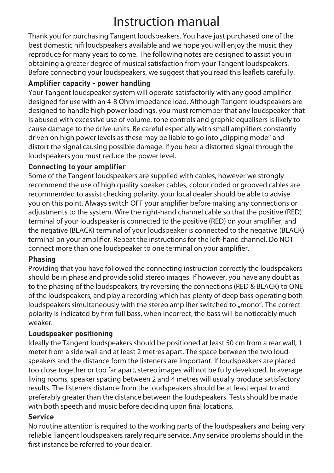# Instruction manual

Thank you for purchasing Tangent loudspeakers. You have just purchased one of the best domestic hifi loudspeakers available and we hope you will enjoy the music they reproduce for many years to come. The following notes are designed to assist you in obtaining a greater degree of musical satisfaction from your Tangent loudspeakers. Before connecting your loudspeakers, we suggest that you read this leaflets carefully.

## **Amplifier capacity - power handling**

Your Tangent loudspeaker system will operate satisfactorily with any good amplifier designed for use with an 4-8 Ohm impedance load. Although Tangent loudspeakers are designed to handle high power loadings, you must remember that any loudspeaker that is abused with excessive use of volume, tone controls and graphic equalisers is likely to cause damage to the drive-units. Be careful especially with small amplifiers constantly driven on high power levels as these may be liable to go into "clipping mode" and distort the signal causing possible damage. If you hear a distorted signal through the loudspeakers you must reduce the power level.

#### **Connecting to your amplifier**

Some of the Tangent loudspeakers are supplied with cables, however we strongly recommend the use of high quality speaker cables, colour coded or grooved cables are recommended to assist checking polarity, your local dealer should be able to advise you on this point. Always switch OFF your amplifier before making any connections or adjustments to the system. Wire the right-hand channel cable so that the positive (RED) terminal of your loudspeaker is connected to the positive (RED) on your amplifier, and the negative (BLACK) terminal of your loudspeaker is connected to the negative (BLACK) terminal on your amplifier. Repeat the instructions for the left-hand channel. Do NOT connect more than one loudspeaker to one terminal on your amplifier.

#### **Phasing**

Providing that you have followed the connecting instruction correctly the loudspeakers should be in phase and provide solid stereo images. If however, you have any doubt as to the phasing of the loudspeakers, try reversing the connections (RED & BLACK) to ONE of the loudspeakers, and play a recording which has plenty of deep bass operating both loudspeakers simultaneously with the stereo amplifier switched to "mono". The correct polarity is indicated by firm full bass, when incorrect, the bass will be noticeably much weaker.

## **Loudspeaker positioning**

Ideally the Tangent loudspeakers should be positioned at least 50 cm from a rear wall, 1 meter from a side wall and at least 2 metres apart. The space between the two loudspeakers and the distance form the listeners are important. If loudspeakers are placed too close together or too far apart, stereo images will not be fully developed. In average living rooms, speaker spacing between 2 and 4 metres will usually produce satisfactory results. The listeners distance from the loudspeakers should be at least equal to and preferably greater than the distance between the loudspeakers. Tests should be made with both speech and music before deciding upon final locations.

#### **Service**

No routine attention is required to the working parts of the loudspeakers and being very reliable Tangent loudspeakers rarely require service. Any service problems should in the first instance be referred to your dealer.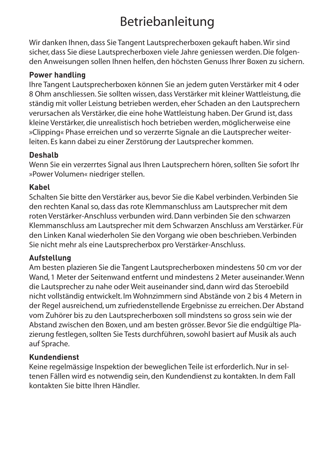# Betriebanleitung

Wir danken Ihnen, dass Sie Tangent Lautsprecherboxen gekauft haben. Wir sind sicher, dass Sie diese Lautsprecherboxen viele Jahre geniessen werden. Die folgenden Anweisungen sollen Ihnen helfen, den höchsten Genuss Ihrer Boxen zu sichern.

# **Power handling**

Ihre Tangent Lautsprecherboxen können Sie an jedem guten Verstärker mit 4 oder 8 Ohm anschliessen. Sie sollten wissen, dass Verstärker mit kleiner Wattleistung, die ständig mit voller Leistung betrieben werden, eher Schaden an den Lautsprechern verursachen als Verstärker, die eine hohe Wattleistung haben. Der Grund ist, dass kleine Verstärker, die unrealistisch hoch betrieben werden, möglicherweise eine »Clipping« Phase erreichen und so verzerrte Signale an die Lautsprecher weiterleiten. Es kann dabei zu einer Zerstörung der Lautsprecher kommen.

# **Deshalb**

Wenn Sie ein verzerrtes Signal aus Ihren Lautsprechern hören, sollten Sie sofort Ihr »Power Volumen« niedriger stellen.

# **Kabel**

Schalten Sie bitte den Verstärker aus, bevor Sie die Kabel verbinden. Verbinden Sie den rechten Kanal so, dass das rote Klemmanschluss am Lautsprecher mit dem roten Verstärker-Anschluss verbunden wird. Dann verbinden Sie den schwarzen Klemmanschluss am Lautsprecher mit dem Schwarzen Anschluss am Verstärker. Für den Linken Kanal wiederholen Sie den Vorgang wie oben beschrieben. Verbinden Sie nicht mehr als eine Lautsprecherbox pro Verstärker-Anschluss.

## **Aufstellung**

Am besten plazieren Sie die Tangent Lautsprecherboxen mindestens 50 cm vor der Wand, 1 Meter der Seitenwand entfernt und mindestens 2 Meter auseinander. Wenn die Lautsprecher zu nahe oder Weit auseinander sind, dann wird das Steroebild nicht vollständig entwickelt. Im Wohnzimmern sind Abstände von 2 bis 4 Metern in der Regel ausreichend, um zufriedenstellende Ergebnisse zu erreichen. Der Abstand vom Zuhörer bis zu den Lautsprecherboxen soll mindstens so gross sein wie der Abstand zwischen den Boxen, und am besten grösser. Bevor Sie die endgültige Plazierung festlegen, sollten Sie Tests durchführen, sowohl basiert auf Musik als auch auf Sprache.

# **Kundendienst**

Keine regelmässige Inspektion der beweglichen Teile ist erforderlich. Nur in seltenen Fällen wird es notwendig sein, den Kundendienst zu kontakten. In dem Fall kontakten Sie bitte Ihren Händler.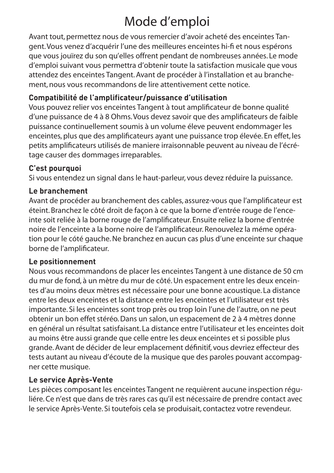# Mode d'emploi

Avant tout, permettez nous de vous remercier d'avoir acheté des enceintes Tangent. Vous venez d'acquérir l'une des meilleures enceintes hi-fi et nous espérons que vous jouïrez du son qu'elles offrent pendant de nombreuses années. Le mode d'emploi suivant vous permettra d'obtenir toute la satisfaction musicale que vous attendez des enceintes Tangent. Avant de procéder à l'installation et au branchement, nous vous recommandons de lire attentivement cette notice.

# **Compatibilité de l'amplificateur/puissance d'utilisation**

Vous pouvez relier vos enceintes Tangent à tout amplificateur de bonne qualité d'une puissance de 4 à 8 Ohms. Vous devez savoir que des amplificateurs de faible puissance continuellement soumis à un volume éleve peuvent endommager les enceintes, plus que des amplificateurs ayant une puissance trop élevée. En effet, les petits amplificateurs utilisés de maniere irraisonnable peuvent au niveau de l'écrétage causer des dommages irreparables.

# **C'est pourquoi**

Si vous entendez un signal dans le haut-parleur, vous devez réduire la puissance.

# **Le branchement**

Avant de procéder au branchement des cables, assurez-vous que l'amplificateur est éteint. Branchez le côté droit de façon à ce que la borne d'entrée rouge de l'enceinte soit reliée à la borne rouge de l'amplificateur. Ensuite reliez la borne d'entrée noire de l'enceinte a la borne noire de l'amplificateur. Renouvelez la méme opération pour le cóté gauche. Ne branchez en aucun cas plus d'une enceinte sur chaque borne de l'amplificateur.

## **Le positionnement**

Nous vous recommandons de placer les enceintes Tangent à une distance de 50 cm du mur de fond, à un mètre du mur de côté. Un espacement entre les deux enceintes d'au moins deux mètres est nécessaire pour une bonne acoustique. La distance entre les deux enceintes et la distance entre les enceintes et l'utilisateur est très importante. Si les enceintes sont trop près ou trop loin l'une de l'autre, on ne peut obtenir un bon effet stéréo. Dans un salon, un espacement de 2 à 4 mètres donne en général un résultat satisfaisant. La distance entre l'utilisateur et les enceintes doit au moins être aussi grande que celle entre les deux enceintes et si possible plus grande. Avant de décider de leur emplacement définitif, vous devriez effecteur des tests autant au niveau d'écoute de la musique que des paroles pouvant accompagner cette musique.

# **Le service Après-Vente**

Les pièces composant les enceintes Tangent ne requièrent aucune inspection réguliére. Ce n'est que dans de très rares cas qu'il est nécessaire de prendre contact avec le service Après-Vente. Si toutefois cela se produisait, contactez votre revendeur.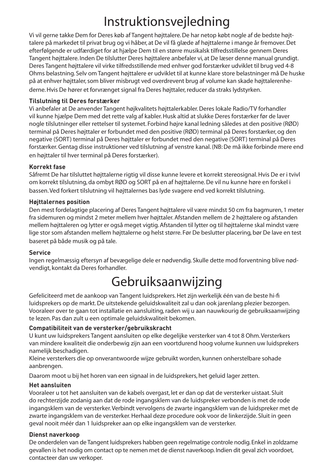# Instruktionsvejledning

Vi vil gerne takke Dem for Deres køb af Tangent højttalere. De har netop købt nogle af de bedste højttalere på markedet til privat brug og vi håber, at De vil få glæde af højttalerne i mange år fremover. Det efterfølgende er udfærdiget for at hjælpe Dem til en større musikalsk tilfredsstillelse gennem Deres Tangent højttalere. Inden De tilslutter Deres højttalere anbefaler vi, at De læser denne manual grundigt. Deres Tangent højttalere vil virke tilfredsstillende med enhver god forstærker udviklet til brug ved 4-8 Ohms belastning. Selv om Tangent højttalere er udviklet til at kunne klare store belastninger må De huske på at enhver højttaler, som bliver misbrugt ved overdrevent brug af volume kan skade højttalerenhederne. Hvis De hører et forvrænget signal fra Deres højttaler, reducer da straks lydstyrken.

#### **Tilslutning til Deres forstærker**

Vi anbefaler at De anvender Tangent højkvalitets højttalerkabler. Deres lokale Radio/TV forhandler vil kunne hjælpe Dem med det rette valg af kabler. Husk altid at slukke Deres forstærker før de laver nogle tilslutninger eller rettelser til systemet. Forbind højre kanal ledning således at den positive (RØD) terminal på Deres højttaler er forbundet med den positive (RØD) terminal på Deres forstærker, og den negative (SORT) terminal på Deres højttaler er forbundet med den negative (SORT) terminal på Deres forstærker. Gentag disse instruktioner ved tilslutning af venstre kanal. (NB: De må ikke forbinde mere end en højttaler til hver terminal på Deres forstærker).

#### **Korrekt fase**

Såfremt De har tilsluttet højttalerne rigtig vil disse kunne levere et korrekt stereosignal. Hvis De er i tvivl om korrekt tilslutning, da ombyt RØD og SORT på en af højttalerne. De vil nu kunne høre en forskel i bassen. Ved forkert tilslutning vil højttalernes bas lyde svagere end ved korrekt tilslutning.

#### **Højttalernes position**

Den mest fordelagtige placering af Deres Tangent højttalere vil være mindst 50 cm fra bagmuren, 1 meter fra sidemuren og mindst 2 meter mellem hver højttaler. Afstanden mellem de 2 højttalere og afstanden mellem højttaleren og lytter er også meget vigtig. Afstanden til lytter og til højttalerne skal mindst være lige stor som afstanden mellem højttalerne og helst større. Før De beslutter placering, bør De lave en test baseret på både musik og på tale.

#### **Service**

Ingen regelmæssig eftersyn af bevægelige dele er nødvendig. Skulle dette mod forventning blive nødvendigt, kontakt da Deres forhandler.

# Gebruiksaanwijzing

Gefeliciteerd met de aankoop van Tangent luidsprekers. Het zijn werkelijk één van de beste hi-fi luidsprekers op de markt. De uitstekende geluidskwaliteit zal u dan ook jarenlang plezier bezorgen. Vooraleer over te gaan tot installatie en aansluiting, raden wij u aan nauwkourig de gebruiksaanwijzing te lezen. Pas dan zult u een optimale geluidskwaliteit bekomen.

#### **Compatibiliteit van de versterker/gebruikskracht**

U kunt uw luidsprekers Tangent aansluiten op elke degelijke versterker van 4 tot 8 Ohm. Versterkers van mindere kwaliteit die onderbewig zijn aan een voortdurend hoog volume kunnen uw luidsprekers namelijk beschadigen.

Kleine versterkers die op onverantwoorde wijze gebruikt worden, kunnen onherstelbare sohade aanbrengen.

Daarom moot u bij het horen van een signaal in de luidsprekers, het geluid lager zetten.

#### **Het aansluiten**

Vooraleer u tot het aansluiten van de kabels overgast, let er dan op dat de versterker uistaat. Sluit do rechterzijde zodanig aan dat de rode ingangsklem van de luidspreker verbonden is met de rode ingangsklem van de versterker. Verbindt vervolgens de zwarte ingangsklem van de luidspreker met de zwarte ingangsklem van de versterker. Herhaal deze procedure ook voor de linkerzijde. Sluit in geen geval nooit méér dan 1 luidspreker aan op elke ingangsklem van de versterker.

#### **Dienst naverkoop**

De onderdelen van de Tangent luidsprekers habben geen regelmatige controle nodig. Enkel in zoldzame gevallen is het nodig om contact op te nemen met de dienst naverkoop. Indien dit geval zich voordoet, contacteer dan uw verkoper.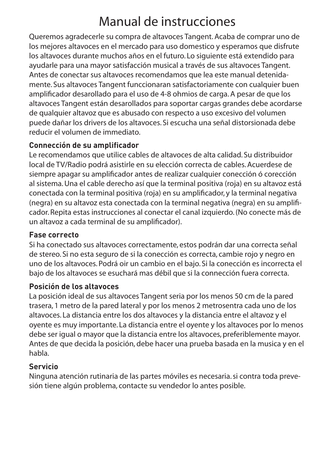# Manual de instrucciones

Queremos agradecerle su compra de altavoces Tangent. Acaba de comprar uno de los mejores altavoces en el mercado para uso domestico y esperamos que disfrute los altavoces durante muchos años en el futuro. Lo siguiente está extendido para ayudarle para una mayor satisfacción musical a través de sus altavoces Tangent. Antes de conectar sus altavoces recomendamos que lea este manual detenidamente. Sus altavoces Tangent funccionaran satisfactoriamente con cualquier buen amplificador desarollado para el uso de 4-8 ohmios de carga. A pesar de que los altavoces Tangent están desarollados para soportar cargas grandes debe acordarse de qualquier altavoz que es abusado con respecto a uso excesivo del volumen puede dañar los drivers de los altavoces. Si escucha una señal distorsionada debe reducir el volumen de immediato.

# **Connección de su amplificador**

Le recomendamos que utilice cables de altavoces de alta calidad. Su distribuidor local de TV/Radio podrá asistirle en su elección correcta de cables. Acuerdese de siempre apagar su amplificador antes de realizar cualquier conección ó corección al sistema. Una el cable derecho así que la terminal positiva (roja) en su altavoz está conectada con la terminal positiva (roja) en su amplificador, y la terminal negativa (negra) en su altavoz esta conectada con la terminal negativa (negra) en su amplificador. Repita estas instrucciones al conectar el canal izquierdo. (No conecte más de un altavoz a cada terminal de su amplificador).

## **Fase correcto**

Si ha conectado sus altavoces correctamente, estos podrán dar una correcta señal de stereo. Si no esta seguro de si la conección es correcta, cambie rojo y negro en uno de los altavoces. Podrá oir un cambio en el bajo. Si la conección es incorrecta el bajo de los altavoces se esuchará mas débil que si la connección fuera correcta.

## **Posición de los altavoces**

La posición ideal de sus altavoces Tangent seria por los menos 50 cm de la pared trasera, 1 metro de la pared lateral y por los menos 2 metrosentra cada uno de los altavoces. La distancia entre los dos altavoces y la distancia entre el altavoz y el oyente es muy importante. La distancia entre el oyente y los altavoces por lo menos debe ser igual o mayor que la distancia entre los altavoces, preferiblemente mayor. Antes de que decida la posición, debe hacer una prueba basada en la musica y en el habla.

## **Servicio**

Ninguna atención rutinaria de las partes móviles es necesaria. si contra toda prevesión tiene algún problema, contacte su vendedor lo antes posible.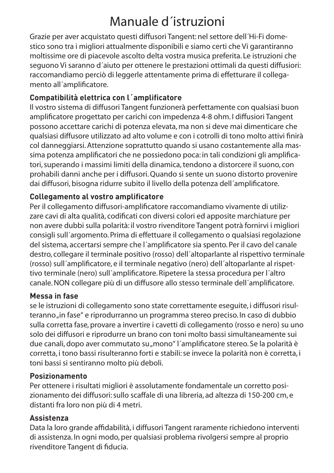# Manuale d´istruzioni

Grazie per aver acquistato questi diffusori Tangent: nel settore dell´Hi-Fi domestico sono tra i migliori attualmente disponibili e siamo certi che Vi garantiranno moltissime ore di piacevole ascolto delta vostra musica preferita. Le istruzioni che seguono Vi saranno d´aiuto per ottenere le prestazioni ottimali da questi diffusiori: raccomandiamo perciò di leggerle attentamente prima di effetturare il collegamento all´amplificatore.

# **Compatibilità elettrica con l´amplificatore**

Il vostro sistema di diffusori Tangent funzionerà perfettamente con qualsiasi buon amplificatore progettato per carichi con impedenza 4-8 ohm. I diffusiori Tangent possono accettare carichi di potenza elevata, ma non si deve mai dimenticare che qualsiasi diffusore utilizzato ad alto volume e con i cotrolli di tono molto attivi finirà col danneggiarsi. Attenzione soprattutto quando si usano costantemente alla massima potenza amplificatori che ne possiedono poca: in tali condizioni gli amplificatori, superando i massimi limiti della dinamica, tendono a distorcere il suono, con prohabili danni anche per i diffusori. Quando si sente un suono distorto provenire dai diffusori, bisogna ridurre subito il livello della potenza dell´amplificatore.

# **Collegamento al vostro amplificatore**

Per il collegamento diffusori-amplificatore raccomandiamo vivamente di utilizzare cavi di alta qualità, codificati con diversi colori ed apposite marchiature per non avere dubbi sulla polarità: il vostro rivenditore Tangent potrà fornirvi i migliori consigli sull´argomento. Prima di effettuare il collegamento o qualsiasi regolazione del sistema, accertarsi sempre che l´amplificatore sia spento. Per il cavo del canale destro, collegare il terminale positivo (rosso) dell´altoparlante al rispettivo terminale (rosso) sull´amplificatore, e il terminale negativo (nero) dell´altoparlante al rispettivo terminale (nero) sull´amplificatore. Ripetere la stessa procedura per l´altro canale. NON collegare più di un diffusore allo stesso terminale dell´amplificatore.

## **Messa in fase**

se le istruzioni di collegamento sono state correttamente eseguite, i diffusori risulteranno "in fase" e riprodurranno un programma stereo preciso. In caso di dubbio sulla corretta fase, provare a invertire i cavetti di collegamento (rosso e nero) su uno solo dei diffusori e riprodurre un brano con toni molto bassi simultaneamente sui due canali, dopo aver commutato su "mono" l'amplificatore stereo. Se la polarità è corretta, i tono bassi risulteranno forti e stabili: se invece la polarità non è corretta, i toni bassi si sentiranno molto più deboli.

## **Posizionamento**

Per ottenere i risultati migliori è assolutamente fondamentale un corretto posizionamento dei diffusori: sullo scaffale di una libreria, ad altezza di 150-200 cm, e distanti fra loro non più di 4 metri.

## **Assistenza**

Data la loro grande affidabilità, i diffusori Tangent raramente richiedono interventi di assistenza. In ogni modo, per qualsiasi problema rivolgersi sempre al proprio rivenditore Tangent di fiducia.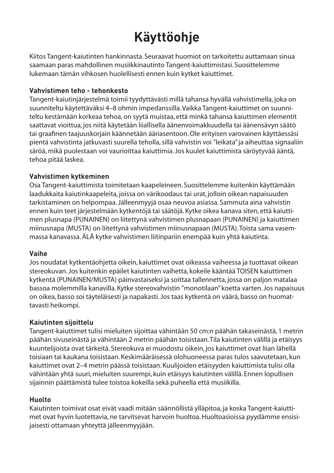# **Käyttöohje**

Kiitos Tangent-kaiutinten hankinnasta. Seuraavat huomiot on tarkoitettu auttamaan sinua saamaan paras mahdollinen musiikkinautinto Tangent-kaiuttimistasi. Suosittelemme lukemaan tämän vihkosen huolellisesti ennen kuin kytket kaiuttimet.

#### **Vahvistimen teho - tehonkesto**

Tangent-kaiutinjärjestelmä toimii tyydyttävästi millä tahansa hyvällä vahvistimella, joka on suunniteltu käytettäväksi 4–8 ohmin impedanssilla. Vaikka Tangent-kaiuttimet on suunniteltu kestämään korkeaa tehoa, on syytä muistaa, että minkä tahansa kaiuttimen elementit saattavat vioittua, jos niitä käytetään liiallisella äänenvoimakkuudella tai äänensävyn säätö tai graafinen taajuuskorjain käännetään ääriasentoon. Ole erityisen varovainen käyttäessäsi pientä vahvistinta jatkuvasti suurella teholla, sillä vahvistin voi "leikata" ja aiheuttaa signaaliin säröä, mikä puolestaan voi vaurioittaa kaiuttimia. Jos kuulet kaiuttimista säröytyvää ääntä, tehoa pitää laskea.

#### **Vahvistimen kytkeminen**

Osa Tangent-kaiuttimista toimitetaan kaapeleineen. Suosittelemme kuitenkin käyttämään laadukkaita kaiutinkaapeleita, joissa on värikoodaus tai urat, jolloin oikean napaisuuden tarkistaminen on helpompaa. Jälleenmyyjä osaa neuvoa asiassa. Sammuta aina vahvistin ennen kuin teet järjestelmään kytkentöjä tai säätöjä. Kytke oikea kanava siten, että kaiuttimen plusnapa (PUNAINEN) on liitettynä vahvistimen plusnapaan (PUNAINEN) ja kaiuttimen miinusnapa (MUSTA) on liitettynä vahvistimen miinusnapaan (MUSTA). Toista sama vasemmassa kanavassa. ÄLÄ kytke vahvistimen liitinpariin enempää kuin yhtä kaiutinta.

#### **Vaihe**

Jos noudatat kytkentäohjetta oikein, kaiuttimet ovat oikeassa vaiheessa ja tuottavat oikean stereokuvan. Jos kuitenkin epäilet kaiutinten vaihetta, kokeile kääntää TOISEN kaiuttimen kytkentä (PUNAINEN/MUSTA) päinvastaiseksi ja soittaa tallennetta, jossa on paljon matalaa bassoa molemmilla kanavilla. Kytke stereovahvistin "monotilaan" koetta varten. Jos napaisuus on oikea, basso soi täyteläisesti ja napakasti. Jos taas kytkentä on väärä, basso on huomattavasti heikompi.

#### **Kaiutinten sijoittelu**

Tangent-kaiuttimet tulisi mieluiten sijoittaa vähintään 50 cm:n päähän takaseinästä, 1 metrin päähän sivuseinästä ja vähintään 2 metrin päähän toisistaan. Tila kaiutinten välillä ja etäisyys kuuntelijoista ovat tärkeitä. Stereokuva ei muodostu oikein, jos kaiuttimet ovat liian lähellä toisiaan tai kaukana toisistaan. Keskimääräisessä olohuoneessa paras tulos saavutetaan, kun kaiuttimet ovat 2–4 metrin päässä toisistaan. Kuulijoiden etäisyyden kaiuttimista tulisi olla vähintään yhtä suuri, mieluiten suurempi, kuin etäisyys kaiutinten välillä. Ennen lopullisen sijainnin päättämistä tulee toistoa kokeilla sekä puheella että musiikilla.

#### **Huolto**

Kaiutinten toimivat osat eivät vaadi mitään säännöllistä ylläpitoa, ja koska Tangent-kaiuttimet ovat hyvin luotettavia, ne tarvitsevat harvoin huoltoa. Huoltoasioissa pyydämme ensisijaisesti ottamaan yhteyttä jälleenmyyjään.